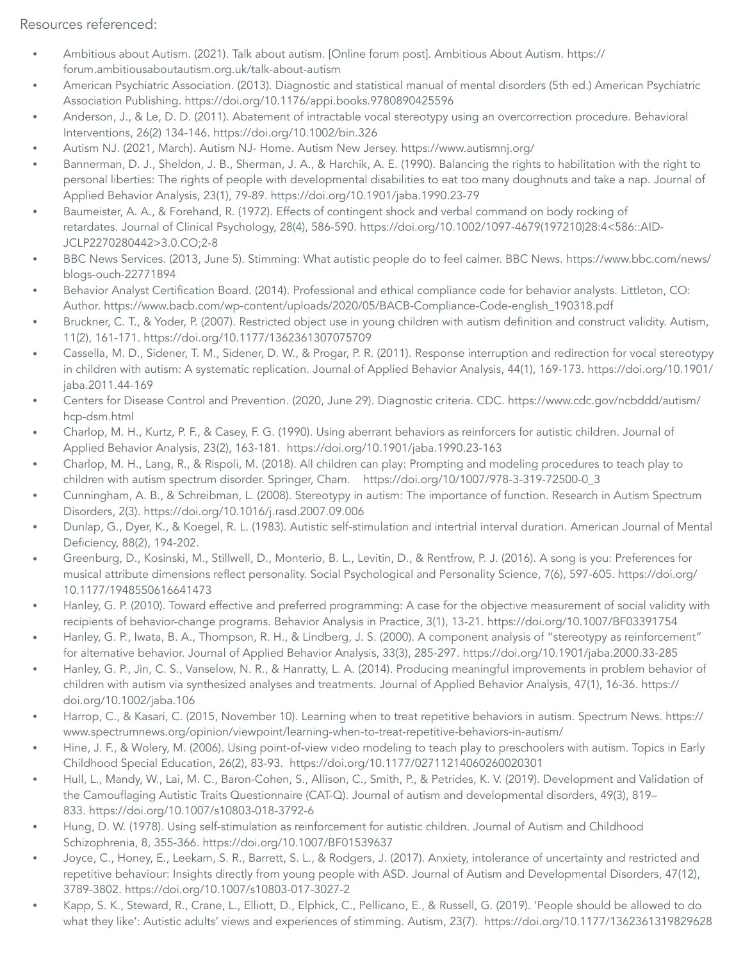## Resources referenced:

- Ambitious about Autism. (2021). Talk about autism. [Online forum post]. Ambitious About Autism. [https://](https://forum.ambitiousaboutautism.org.uk/talk-about-autism) [forum.ambitiousaboutautism.org.uk/talk-about-autism](https://forum.ambitiousaboutautism.org.uk/talk-about-autism)
- American Psychiatric Association. (2013). Diagnostic and statistical manual of mental disorders (5th ed.) American Psychiatric Association Publishing. <https://doi.org/10.1176/appi.books.9780890425596>
- Anderson, J., & Le, D. D. (2011). Abatement of intractable vocal stereotypy using an overcorrection procedure. Behavioral Interventions, 26(2) 134-146. https://doi.org/10.1002/bin.326
- Autism NJ. (2021, March). Autism NJ- Home. Autism New Jersey. <https://www.autismnj.org/>
- Bannerman, D. J., Sheldon, J. B., Sherman, J. A., & Harchik, A. E. (1990). Balancing the rights to habilitation with the right to personal liberties: The rights of people with developmental disabilities to eat too many doughnuts and take a nap. Journal of Applied Behavior Analysis, 23(1), 79-89. <https://doi.org/10.1901/jaba.1990.23-79>
- Baumeister, A. A., & Forehand, R. (1972). Effects of contingent shock and verbal command on body rocking of retardates. Journal of Clinical Psychology, 28(4), 586-590. [https://doi.org/10.1002/1097-4679\(197210\)28:4<586::AID-](https://doi.org/10.1002/1097-4679(197210)28:4%3C586::AID-JCLP2270280442%3E3.0.CO;2-8)[JCLP2270280442>3.0.CO;2-8](https://doi.org/10.1002/1097-4679(197210)28:4%3C586::AID-JCLP2270280442%3E3.0.CO;2-8)
- BBC News Services. (2013, June 5). Stimming: What autistic people do to feel calmer. BBC News. [https://www.bbc.com/news/](https://www.bbc.com/news/blogs-ouch-22771894) [blogs-ouch-22771894](https://www.bbc.com/news/blogs-ouch-22771894)
- Behavior Analyst Certification Board. (2014). Professional and ethical compliance code for behavior analysts. Littleton, CO: Author. [https://www.bacb.com/wp-content/uploads/2020/05/BACB-Compliance-Code-english\\_190318.pdf](https://www.bacb.com/wp-content/uploads/2020/05/BACB-Compliance-Code-english_190318.pdf)
- Bruckner, C. T., & Yoder, P. (2007). Restricted object use in young children with autism definition and construct validity. Autism, 11(2), 161-171. <https://doi.org/10.1177/1362361307075709>
- Cassella, M. D., Sidener, T. M., Sidener, D. W., & Progar, P. R. (2011). Response interruption and redirection for vocal stereotypy in children with autism: A systematic replication. Journal of Applied Behavior Analysis, 44(1), 169-173. [https://doi.org/10.1901/](https://doi.org/10.1901/jaba.2011.44-169) [jaba.2011.44-169](https://doi.org/10.1901/jaba.2011.44-169)
- Centers for Disease Control and Prevention. (2020, June 29). Diagnostic criteria. CDC. [https://www.cdc.gov/ncbddd/autism/](https://www.cdc.gov/ncbddd/autism/hcp-dsm.html) [hcp-dsm.html](https://www.cdc.gov/ncbddd/autism/hcp-dsm.html)
- Charlop, M. H., Kurtz, P. F., & Casey, F. G. (1990). Using aberrant behaviors as reinforcers for autistic children. Journal of Applied Behavior Analysis, 23(2), 163-181. <https://doi.org/10.1901/jaba.1990.23-163>
- Charlop, M. H., Lang, R., & Rispoli, M. (2018). All children can play: Prompting and modeling procedures to teach play to children with autism spectrum disorder. Springer, Cham. [https://doi.org/10/1007/978-3-319-72500-0\\_3](https://doi.org/10/1007/978-3-319-72500-0_3)
- Cunningham, A. B., & Schreibman, L. (2008). Stereotypy in autism: The importance of function. Research in Autism Spectrum Disorders, 2(3). <https://doi.org/10.1016/j.rasd.2007.09.006>
- Dunlap, G., Dyer, K., & Koegel, R. L. (1983). Autistic self-stimulation and intertrial interval duration. American Journal of Mental Deficiency, 88(2), 194-202.
- Greenburg, D., Kosinski, M., Stillwell, D., Monterio, B. L., Levitin, D., & Rentfrow, P. J. (2016). A song is you: Preferences for musical attribute dimensions reflect personality. Social Psychological and Personality Science, 7(6), 597-605. [https://doi.org/](https://doi.org/10.1177/1948550616641473) [10.1177/1948550616641473](https://doi.org/10.1177/1948550616641473)
- Hanley, G. P. (2010). Toward effective and preferred programming: A case for the objective measurement of social validity with recipients of behavior-change programs. Behavior Analysis in Practice, 3(1), 13-21. <https://doi.org/10.1007/BF03391754>
- Hanley, G. P., Iwata, B. A., Thompson, R. H., & Lindberg, J. S. (2000). A component analysis of "stereotypy as reinforcement" for alternative behavior. Journal of Applied Behavior Analysis, 33(3), 285-297. <https://doi.org/10.1901/jaba.2000.33-285>
- Hanley, G. P., Jin, C. S., Vanselow, N. R., & Hanratty, L. A. (2014). Producing meaningful improvements in problem behavior of children with autism via synthesized analyses and treatments. Journal of Applied Behavior Analysis, 47(1), 16-36. [https://](https://doi.org/10.1002/jaba.106) [doi.org/10.1002/jaba.106](https://doi.org/10.1002/jaba.106)
- Harrop, C., & Kasari, C. (2015, November 10). Learning when to treat repetitive behaviors in autism. Spectrum News. [https://](https://www.spectrumnews.org/opinion/viewpoint/learning-when-to-treat-repetitive-behaviors-in-autism/) [www.spectrumnews.org/opinion/viewpoint/learning-when-to-treat-repetitive-behaviors-in-autism/](https://www.spectrumnews.org/opinion/viewpoint/learning-when-to-treat-repetitive-behaviors-in-autism/)
- Hine, J. F., & Wolery, M. (2006). Using point-of-view video modeling to teach play to preschoolers with autism. Topics in Early Childhood Special Education, 26(2), 83-93. <https://doi.org/10.1177/02711214060260020301>
- Hull, L., Mandy, W., Lai, M. C., Baron-Cohen, S., Allison, C., Smith, P., & Petrides, K. V. (2019). Development and Validation of the Camouflaging Autistic Traits Questionnaire (CAT-Q). Journal of autism and developmental disorders, 49(3), 819– 833. <https://doi.org/10.1007/s10803-018-3792-6>
- Hung, D. W. (1978). Using self-stimulation as reinforcement for autistic children. Journal of Autism and Childhood Schizophrenia, 8, 355-366. <https://doi.org/10.1007/BF01539637>
- Joyce, C., Honey, E., Leekam, S. R., Barrett, S. L., & Rodgers, J. (2017). Anxiety, intolerance of uncertainty and restricted and repetitive behaviour: Insights directly from young people with ASD. Journal of Autism and Developmental Disorders, 47(12), 3789-3802. <https://doi.org/10.1007/s10803-017-3027-2>
- Kapp, S. K., Steward, R., Crane, L., Elliott, D., Elphick, C., Pellicano, E., & Russell, G. (2019). 'People should be allowed to do what they like': Autistic adults' views and experiences of stimming. Autism, 23(7). <https://doi.org/10.1177/1362361319829628>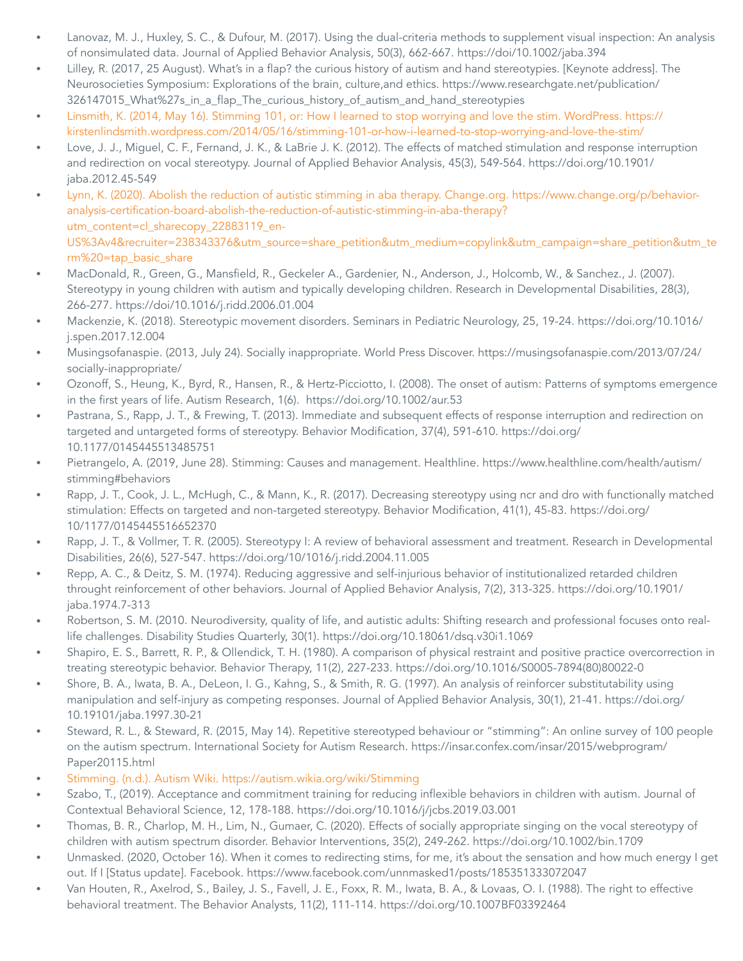- Lanovaz, M. J., Huxley, S. C., & Dufour, M. (2017). Using the dual-criteria methods to supplement visual inspection: An analysis of nonsimulated data. Journal of Applied Behavior Analysis, 50(3), 662-667. <https://doi/10.1002/jaba.394>
- Lilley, R. (2017, 25 August). What's in a flap? the curious history of autism and hand stereotypies. [Keynote address]. The [Neurosocieties Symposium: Explorations of the brain, culture,and ethics.](https://www.researchgate.net/publication/326147015_What%27s_in_a_flap_The_curious_history_of_autism_and_hand_stereotypies) [https://www.researchgate.net/publication/](https://www.researchgate.net/publication/326147015_What%27s_in_a_flap_The_curious_history_of_autism_and_hand_stereotypies) [326147015\\_What%27s\\_in\\_a\\_flap\\_The\\_curious\\_history\\_of\\_autism\\_and\\_hand\\_stereotypies](https://www.researchgate.net/publication/326147015_What%27s_in_a_flap_The_curious_history_of_autism_and_hand_stereotypies)
- [Linsmith, K. \(2014, May 16\). Stimming 101, or: How I learned to stop worrying and love the stim.](https://kirstenlindsmith.wordpress.com/2014/05/16/stimming-101-or-how-i-learned-to-stop-worrying-and-love-the-stim/) WordPress. [https://](https://kirstenlindsmith.wordpress.com/2014/05/16/stimming-101-or-how-i-learned-to-stop-worrying-and-love-the-stim/) [kirstenlindsmith.wordpress.com/2014/05/16/stimming-101-or-how-i-learned-to-stop-worrying-and-love-the-stim/](https://kirstenlindsmith.wordpress.com/2014/05/16/stimming-101-or-how-i-learned-to-stop-worrying-and-love-the-stim/)
- Love, J. J., Miguel, C. F., Fernand, J. K., & LaBrie J. K. (2012). The effects of matched stimulation and response interruption and redirection on vocal stereotypy. Journal of Applied Behavior Analysis, 45(3), 549-564. [https://doi.org/10.1901/](https://doi.org/10.1901/jaba.2012.45-549) [jaba.2012.45-549](https://doi.org/10.1901/jaba.2012.45-549)
- Lynn, K. (2020). Abolish the reduction of autistic stimming in aba therapy. Change.org. [https://www.change.org/p/behavior](https://www.change.org/p/behavior-analysis-certification-board-abolish-the-reduction-of-autistic-stimming-in-aba-therapy?utm_content=cl_sharecopy_22883119_en-US%3Av4&recruiter=238343376&utm_source=share_petition&utm_medium=copylink&utm_campaign=share_petition&utm_term%20=tap_basic_share)[analysis-certification-board-abolish-the-reduction-of-autistic-stimming-in-aba-therapy?](https://www.change.org/p/behavior-analysis-certification-board-abolish-the-reduction-of-autistic-stimming-in-aba-therapy?utm_content=cl_sharecopy_22883119_en-US%3Av4&recruiter=238343376&utm_source=share_petition&utm_medium=copylink&utm_campaign=share_petition&utm_term%20=tap_basic_share) [utm\\_content=cl\\_sharecopy\\_22883119\\_en-](https://www.change.org/p/behavior-analysis-certification-board-abolish-the-reduction-of-autistic-stimming-in-aba-therapy?utm_content=cl_sharecopy_22883119_en-US%3Av4&recruiter=238343376&utm_source=share_petition&utm_medium=copylink&utm_campaign=share_petition&utm_term%20=tap_basic_share)[US%3Av4&recruiter=238343376&utm\\_source=share\\_petition&utm\\_medium=copylink&utm\\_campaign=share\\_petition&utm\\_te](https://www.change.org/p/behavior-analysis-certification-board-abolish-the-reduction-of-autistic-stimming-in-aba-therapy?utm_content=cl_sharecopy_22883119_en-US%3Av4&recruiter=238343376&utm_source=share_petition&utm_medium=copylink&utm_campaign=share_petition&utm_term%20=tap_basic_share) [rm%20=tap\\_basic\\_share](https://www.change.org/p/behavior-analysis-certification-board-abolish-the-reduction-of-autistic-stimming-in-aba-therapy?utm_content=cl_sharecopy_22883119_en-US%3Av4&recruiter=238343376&utm_source=share_petition&utm_medium=copylink&utm_campaign=share_petition&utm_term%20=tap_basic_share)
- MacDonald, R., Green, G., Mansfield, R., Geckeler A., Gardenier, N., Anderson, J., Holcomb, W., & Sanchez., J. (2007). Stereotypy in young children with autism and typically developing children. Research in Developmental Disabilities, 28(3), 266-277. <https://doi/10.1016/j.ridd.2006.01.004>
- Mackenzie, K. (2018). Stereotypic movement disorders. Seminars in Pediatric Neurology, 25, 19-24. [https://doi.org/10.1016/](https://doi.org/10.1016/j.spen.2017.12.004) [j.spen.2017.12.004](https://doi.org/10.1016/j.spen.2017.12.004)
- Musingsofanaspie. (2013, July 24). Socially inappropriate. World Press Discover. [https://musingsofanaspie.com/2013/07/24/](https://musingsofanaspie.com/2013/07/24/socially-inappropriate/) [socially-inappropriate/](https://musingsofanaspie.com/2013/07/24/socially-inappropriate/)
- Ozonoff, S., Heung, K., Byrd, R., Hansen, R., & Hertz-Picciotto, I. (2008). The onset of autism: Patterns of symptoms emergence in the first years of life. Autism Research, 1(6). <https://doi.org/10.1002/aur.53>
- Pastrana, S., Rapp, J. T., & Frewing, T. (2013). Immediate and subsequent effects of response interruption and redirection on targeted and untargeted forms of stereotypy. Behavior Modification, 37(4), 591-610. [https://doi.org/](https://doi.org/10.1177/0145445513485751) [10.1177/0145445513485751](https://doi.org/10.1177/0145445513485751)
- Pietrangelo, A. (2019, June 28). Stimming: Causes and management. Healthline. [https://www.healthline.com/health/autism/](https://www.healthline.com/health/autism/stimming#behaviors) [stimming#behaviors](https://www.healthline.com/health/autism/stimming#behaviors)
- Rapp, J. T., Cook, J. L., McHugh, C., & Mann, K., R. (2017). Decreasing stereotypy using ncr and dro with functionally matched stimulation: Effects on targeted and non-targeted stereotypy. Behavior Modification, 41(1), 45-83. [https://doi.org/](https://doi.org/10/1177/0145445516652370) [10/1177/0145445516652370](https://doi.org/10/1177/0145445516652370)
- Rapp, J. T., & Vollmer, T. R. (2005). Stereotypy I: A review of behavioral assessment and treatment. Research in Developmental Disabilities, 26(6), 527-547. <https://doi.org/10/1016/j.ridd.2004.11.005>
- Repp, A. C., & Deitz, S. M. (1974). Reducing aggressive and self-injurious behavior of institutionalized retarded children throught reinforcement of other behaviors. Journal of Applied Behavior Analysis, 7(2), 313-325. [https://doi.org/10.1901/](https://doi.org/10.1901/jaba.1974.7-313) [jaba.1974.7-313](https://doi.org/10.1901/jaba.1974.7-313)
- Robertson, S. M. (2010. Neurodiversity, quality of life, and autistic adults: Shifting research and professional focuses onto reallife challenges. Disability Studies Quarterly, 30(1). <https://doi.org/10.18061/dsq.v30i1.1069>
- Shapiro, E. S., Barrett, R. P., & Ollendick, T. H. (1980). A comparison of physical restraint and positive practice overcorrection in treating stereotypic behavior. Behavior Therapy, 11(2), 227-233. [https://doi.org/10.1016/S0005-7894\(80\)80022-0](https://doi.org/10.1016/S0005-7894(80)80022-0)
- Shore, B. A., Iwata, B. A., DeLeon, I. G., Kahng, S., & Smith, R. G. (1997). An analysis of reinforcer substitutability using manipulation and self-injury as competing responses. Journal of Applied Behavior Analysis, 30(1), 21-41. [https://doi.org/](https://doi.org/10.19101/jaba.1997.30-21) [10.19101/jaba.1997.30-21](https://doi.org/10.19101/jaba.1997.30-21)
- Steward, R. L., & Steward, R. (2015, May 14). Repetitive stereotyped behaviour or "stimming": An online survey of 100 people on the autism spectrum. International Society for Autism Research. [https://insar.confex.com/insar/2015/webprogram/](https://insar.confex.com/insar/2015/webprogram/Paper20115.html) [Paper20115.html](https://insar.confex.com/insar/2015/webprogram/Paper20115.html)
- Stimming. (n.d.). Autism Wiki. <https://autism.wikia.org/wiki/Stimming>
- Szabo, T., (2019). Acceptance and commitment training for reducing inflexible behaviors in children with autism. Journal of Contextual Behavioral Science, 12, 178-188. <https://doi.org/10.1016/j/jcbs.2019.03.001>
- Thomas, B. R., Charlop, M. H., Lim, N., Gumaer, C. (2020). Effects of socially appropriate singing on the vocal stereotypy of children with autism spectrum disorder. Behavior Interventions, 35(2), 249-262. <https://doi.org/10.1002/bin.1709>
- Unmasked. (2020, October 16). When it comes to redirecting stims, for me, it's about the sensation and how much energy I get out. If I [Status update]. Facebook. <https://www.facebook.com/unnmasked1/posts/185351333072047>
- Van Houten, R., Axelrod, S., Bailey, J. S., Favell, J. E., Foxx, R. M., Iwata, B. A., & Lovaas, O. I. (1988). The right to effective behavioral treatment. The Behavior Analysts, 11(2), 111-114. <https://doi.org/10.1007BF03392464>